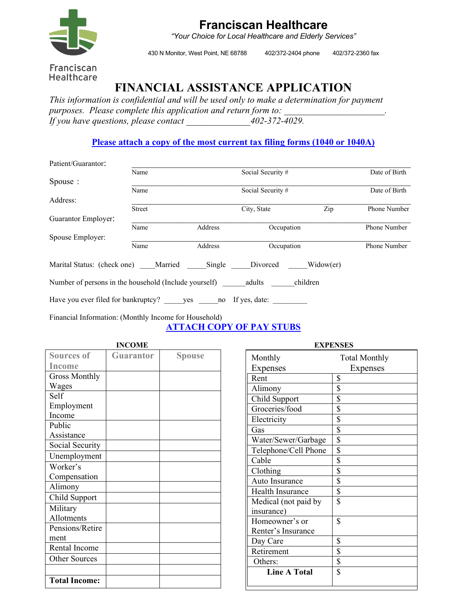

# **Franciscan Healthcare**

*"Your Choice for Local Healthcare and Elderly Services"*

430 N Monitor, West Point, NE 68788 402/372-2404 phone 402/372-2360 fax

## Franciscan Healthcare

# **FINANCIAL ASSISTANCE APPLICATION**

*This information is confidential and will be used only to make a determination for payment*  purposes. Please complete this application and return form to: *If you have questions, please contact \_\_\_\_\_\_\_\_\_\_\_\_\_\_402-372-4029.*

#### **Please attach a copy of the most current tax filing forms (1040 or 1040A)**

| Patient/Guarantor:                                                    |        |         |                   |     |               |
|-----------------------------------------------------------------------|--------|---------|-------------------|-----|---------------|
|                                                                       | Name   |         | Social Security # |     | Date of Birth |
| Spouse:                                                               |        |         |                   |     |               |
|                                                                       | Name   |         | Social Security # |     | Date of Birth |
| Address:                                                              |        |         |                   |     |               |
|                                                                       | Street |         | City, State       | Zip | Phone Number  |
| Guarantor Employer:                                                   |        |         |                   |     |               |
|                                                                       | Name   | Address | Occupation        |     | Phone Number  |
| Spouse Employer:                                                      |        |         |                   |     |               |
|                                                                       | Name   | Address | Occupation        |     | Phone Number  |
| Marital Status: (check one) Married Single Divorced Widow(er)         |        |         |                   |     |               |
| Number of persons in the household (Include yourself) adults children |        |         |                   |     |               |
| Have you ever filed for bankruptcy? yes no If yes, date:              |        |         |                   |     |               |
|                                                                       |        |         |                   |     |               |

Financial Information: (Monthly Income for Household)

**ATTACH COPY OF PAY STUBS**

|                      | <b>INCOME</b>    |               | <b>EXPENSES</b>      |                         |
|----------------------|------------------|---------------|----------------------|-------------------------|
| <b>Sources of</b>    | <b>Guarantor</b> | <b>Spouse</b> | Monthly              | Tota                    |
| Income               |                  |               | Expenses             | Е                       |
| <b>Gross Monthly</b> |                  |               | Rent                 | $\mathbf S$             |
| Wages                |                  |               | Alimony              | \$                      |
| Self                 |                  |               | Child Support        | \$                      |
| Employment           |                  |               | Groceries/food       | \$                      |
| Income               |                  |               | Electricity          | \$                      |
| Public               |                  |               | Gas                  | \$                      |
| Assistance           |                  |               | Water/Sewer/Garbage  | $\overline{\mathbb{S}}$ |
| Social Security      |                  |               | Telephone/Cell Phone | \$                      |
| Unemployment         |                  |               | Cable                | \$                      |
| Worker's             |                  |               | Clothing             | \$                      |
| Compensation         |                  |               | Auto Insurance       | \$                      |
| Alimony              |                  |               | Health Insurance     | \$                      |
| Child Support        |                  |               | Medical (not paid by | \$                      |
| Military             |                  |               | insurance)           |                         |
| Allotments           |                  |               | Homeowner's or       | \$                      |
| Pensions/Retire      |                  |               | Renter's Insurance   |                         |
| ment                 |                  |               | Day Care             | \$                      |
| Rental Income        |                  |               | Retirement           | \$                      |
| <b>Other Sources</b> |                  |               | Others:              | \$                      |
|                      |                  |               | <b>Line A Total</b>  | \$                      |
| <b>Total Income:</b> |                  |               |                      |                         |

| EXPENSES             |                      |  |  |  |
|----------------------|----------------------|--|--|--|
| Monthly              | <b>Total Monthly</b> |  |  |  |
| Expenses             | Expenses             |  |  |  |
| Rent                 | \$                   |  |  |  |
| Alimony              | \$                   |  |  |  |
| Child Support        | \$                   |  |  |  |
| Groceries/food       | \$                   |  |  |  |
| Electricity          | \$                   |  |  |  |
| Gas                  |                      |  |  |  |
| Water/Sewer/Garbage  | <u>\$</u><br>\$      |  |  |  |
| Telephone/Cell Phone | \$                   |  |  |  |
| Cable                | \$                   |  |  |  |
| Clothing             | \$                   |  |  |  |
| Auto Insurance       | \$                   |  |  |  |
| Health Insurance     | \$                   |  |  |  |
| Medical (not paid by | \$                   |  |  |  |
| insurance)           |                      |  |  |  |
| Homeowner's or       | \$                   |  |  |  |
| Renter's Insurance   |                      |  |  |  |
| Day Care             | \$                   |  |  |  |
| Retirement           | \$                   |  |  |  |
| Others:              | \$                   |  |  |  |
| <b>Line A Total</b>  | \$                   |  |  |  |
|                      |                      |  |  |  |